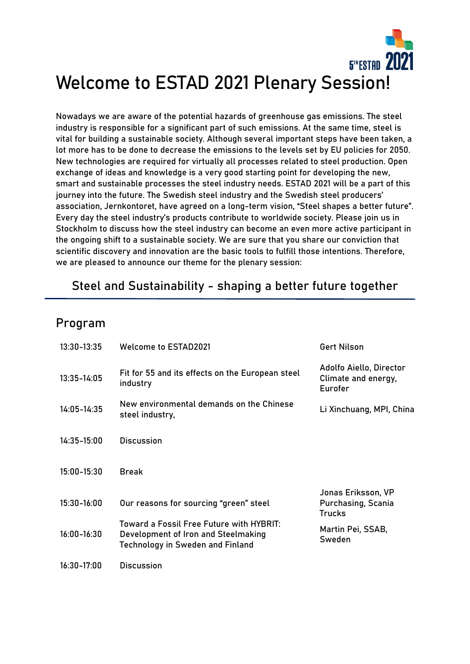

Nowadays we are aware of the potential hazards of greenhouse gas emissions. The steel industry is responsible for a significant part of such emissions. At the same time, steel is vital for building a sustainable society. Although several important steps have been taken, a lot more has to be done to decrease the emissions to the levels set by EU policies for 2050. New technologies are required for virtually all processes related to steel production. Open exchange of ideas and knowledge is a very good starting point for developing the new, smart and sustainable processes the steel industry needs. ESTAD 2021 will be a part of this journey into the future. The Swedish steel industry and the Swedish steel producers' association, Jernkontoret, have agreed on a long-term vision, "Steel shapes a better future". Every day the steel industry's products contribute to worldwide society. Please join us in Stockholm to discuss how the steel industry can become an even more active participant in the ongoing shift to a sustainable society. We are sure that you share our conviction that scientific discovery and innovation are the basic tools to fulfill those intentions. Therefore, we are pleased to announce our theme for the plenary session:

# Steel and Sustainability - shaping a better future together

## Program

| 13:30-13:35     | <b>Welcome to ESTAD2021</b>                                                                                                | <b>Gert Nilson</b>                                               |
|-----------------|----------------------------------------------------------------------------------------------------------------------------|------------------------------------------------------------------|
| 13:35-14:05     | Fit for 55 and its effects on the European steel<br>industry                                                               | Adolfo Aiello, Director<br>Climate and energy,<br>Eurofer        |
| 14:05-14:35     | New environmental demands on the Chinese<br>steel industry,                                                                | Li Xinchuang, MPI, China                                         |
| 14:35-15:00     | <b>Discussion</b>                                                                                                          |                                                                  |
| 15:00-15:30     | <b>Break</b>                                                                                                               |                                                                  |
| 15:30-16:00     | Our reasons for sourcing "green" steel                                                                                     | Jonas Eriksson, VP<br><b>Purchasing, Scania</b><br><b>Trucks</b> |
| $16:00 - 16:30$ | Toward a Fossil Free Future with HYBRIT:<br>Development of Iron and Steelmaking<br><b>Technology in Sweden and Finland</b> | Martin Pei, SSAB,<br>Sweden                                      |
| 16:30-17:00     | <b>Discussion</b>                                                                                                          |                                                                  |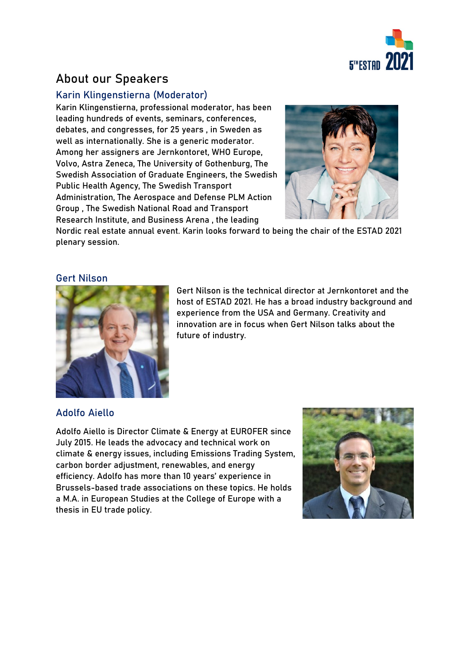

# About our Speakers

## Karin Klingenstierna (Moderator)

Karin Klingenstierna, professional moderator, has been leading hundreds of events, seminars, conferences, debates, and congresses, for 25 years , in Sweden as well as internationally. She is a generic moderator. Among her assigners are Jernkontoret, WHO Europe, Volvo, Astra Zeneca, The University of Gothenburg, The Swedish Association of Graduate Engineers, the Swedish Public Health Agency, The Swedish Transport Administration, The Aerospace and Defense PLM Action Group , The Swedish National Road and Transport Research Institute, and Business Arena , the leading



Nordic real estate annual event. Karin looks forward to being the chair of the ESTAD 2021 plenary session.

### Gert Nilson



Gert Nilson is the technical director at Jernkontoret and the host of ESTAD 2021. He has a broad industry background and experience from the USA and Germany. Creativity and innovation are in focus when Gert Nilson talks about the future of industry.

### Adolfo Aiello

Adolfo Aiello is Director Climate & Energy at EUROFER since July 2015. He leads the advocacy and technical work on climate & energy issues, including Emissions Trading System, carbon border adjustment, renewables, and energy efficiency. Adolfo has more than 10 years' experience in Brussels-based trade associations on these topics. He holds a M.A. in European Studies at the College of Europe with a thesis in EU trade policy.